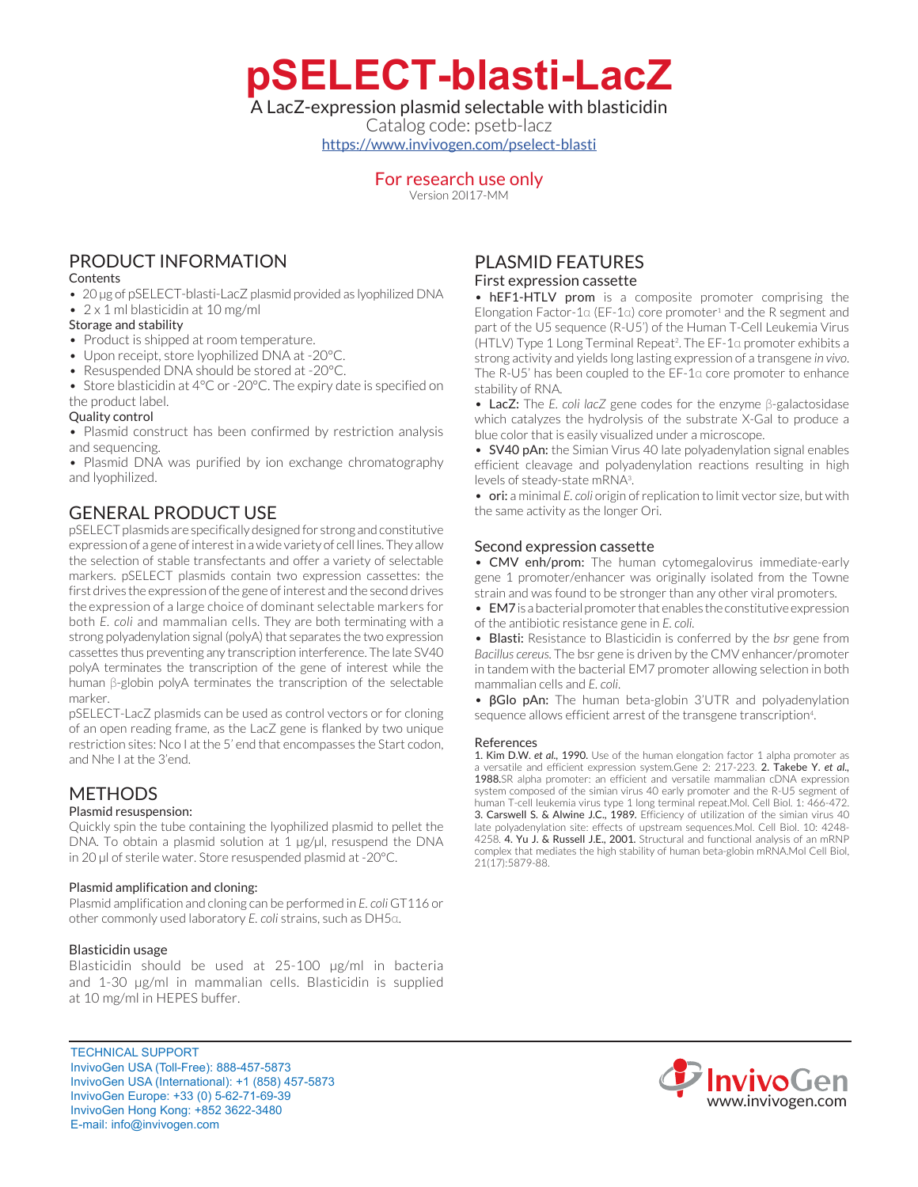**pSELECT-blasti-LacZ**

## A LacZ-expression plasmid selectable with blasticidin

Catalog code: psetb-lacz <https://www.invivogen.com/pselect-blasti>

## For research use only

Version 20I17-MM

# PRODUCT INFORMATION

### **Contents**

• 20 µg of pSELECT-blasti-LacZ plasmid provided as lyophilized DNA

## • 2 x 1 ml blasticidin at 10 mg/ml

- Storage and stability
- Product is shipped at room temperature.
- Upon receipt, store lyophilized DNA at -20°C.
- Resuspended DNA should be stored at -20°C.
- Store blasticidin at 4°C or -20°C. The expiry date is specified on the product label.

### Quality control

• Plasmid construct has been confirmed by restriction analysis and sequencing.

• Plasmid DNA was purified by ion exchange chromatography and lyophilized.

# GENERAL PRODUCT USE

pSELECT plasmids are specifically designed for strong and constitutive expression of a gene of interest in a wide variety of cell lines. They allow the selection of stable transfectants and offer a variety of selectable markers. pSELECT plasmids contain two expression cassettes: the first drives the expression of the gene of interest and the second drives the expression of a large choice of dominant selectable markers for both *E. coli* and mammalian cells. They are both terminating with a strong polyadenylation signal (polyA) that separates the two expression cassettes thus preventing any transcription interference. The late SV40 polyA terminates the transcription of the gene of interest while the human β-globin polyA terminates the transcription of the selectable marker.

pSELECT-LacZ plasmids can be used as control vectors or for cloning of an open reading frame, as the LacZ gene is flanked by two unique restriction sites: Nco I at the 5' end that encompasses the Start codon, and Nhe I at the 3'end.

# **METHODS**

#### Plasmid resuspension:

Quickly spin the tube containing the lyophilized plasmid to pellet the DNA. To obtain a plasmid solution at 1 µg/µl, resuspend the DNA in 20 µl of sterile water. Store resuspended plasmid at -20°C.

#### Plasmid amplification and cloning:

Plasmid amplification and cloning can be performed in *E. coli* GT116 or other commonly used laboratory *E. coli* strains, such as DH5α.

#### Blasticidin usage

Blasticidin should be used at 25-100 µg/ml in bacteria and 1-30 µg/ml in mammalian cells. Blasticidin is supplied at 10 mg/ml in HEPES buffer.

# PLASMID FEATURES

### First expression cassette

• hEF1-HTLV prom is a composite promoter comprising the Elongation Factor-1 $\alpha$  (EF-1 $\alpha$ ) core promoter<sup>1</sup> and the R segment and part of the U5 sequence (R-U5') of the Human T-Cell Leukemia Virus (HTLV) Type 1 Long Terminal Repeat<sup>2</sup> . The EF-1α promoter exhibits a strong activity and yields long lasting expression of a transgene *in vivo*. The R-U5' has been coupled to the EF-1α core promoter to enhance stability of RNA.

• LacZ: The *E. coli lacZ* gene codes for the enzyme β-galactosidase which catalyzes the hydrolysis of the substrate X-Gal to produce a blue color that is easily visualized under a microscope.

• SV40 pAn: the Simian Virus 40 late polyadenylation signal enables efficient cleavage and polyadenylation reactions resulting in high levels of steady-state mRNA<sup>3</sup>.

• ori: a minimal *E. coli* origin of replication to limit vector size, but with the same activity as the longer Ori.

## Second expression cassette

• CMV enh/prom: The human cytomegalovirus immediate-early gene 1 promoter/enhancer was originally isolated from the Towne strain and was found to be stronger than any other viral promoters.

• EM7 is a bacterial promoter that enables the constitutive expression of the antibiotic resistance gene in *E. coli.*

• Blasti: Resistance to Blasticidin is conferred by the *bsr* gene from *Bacillus cereus*. The bsr gene is driven by the CMV enhancer/promoter in tandem with the bacterial EM7 promoter allowing selection in both mammalian cells and *E. coli*.

• βGlo pAn: The human beta-globin 3'UTR and polyadenylation sequence allows efficient arrest of the transgene transcription<sup>4</sup>. .

#### References

1. Kim D.W. *et al.,* 1990. Use of the human elongation factor 1 alpha promoter as a versatile and efficient expression system.Gene 2: 217-223. 2. Takebe Y. *et al.,* 1988.SR alpha promoter: an efficient and versatile mammalian cDNA expression system composed of the simian virus 40 early promoter and the R-U5 segment of human T-cell leukemia virus type 1 long terminal repeat.Mol. Cell Biol. 1: 466-472. 3. Carswell S. & Alwine J.C., 1989. Efficiency of utilization of the simian virus 40 late polyadenylation site: effects of upstream sequences.Mol. Cell Biol. 10: 4248- 4258. 4. Yu J. & Russell J.E., 2001. Structural and functional analysis of an mRNP complex that mediates the high stability of human beta-globin mRNA.Mol Cell Biol, 21(17):5879-88.



TECHNICAL SUPPORT InvivoGen USA (Toll‑Free): 888-457-5873 InvivoGen USA (International): +1 (858) 457-5873 InvivoGen Europe: +33 (0) 5-62-71-69-39 InvivoGen Hong Kong: +852 3622-3480 E-mail: info@invivogen.com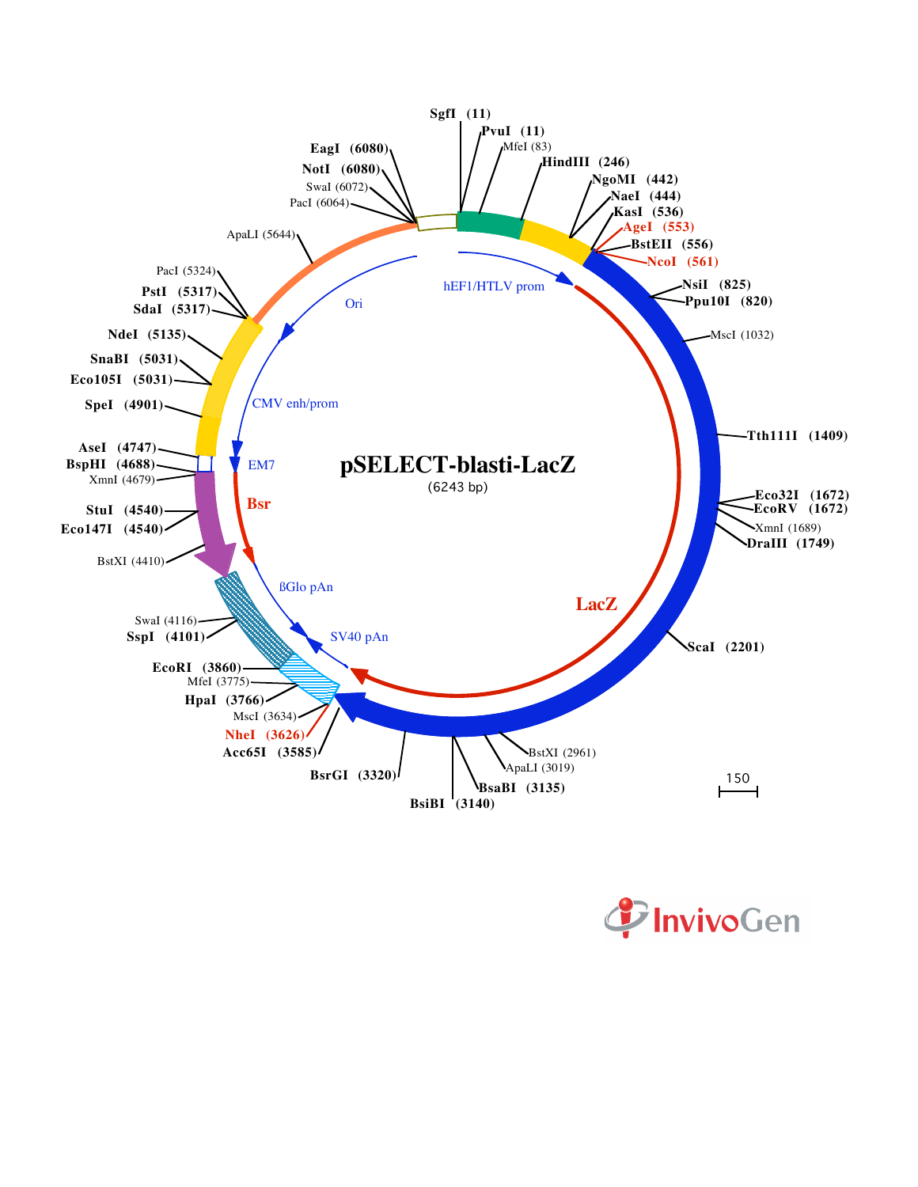

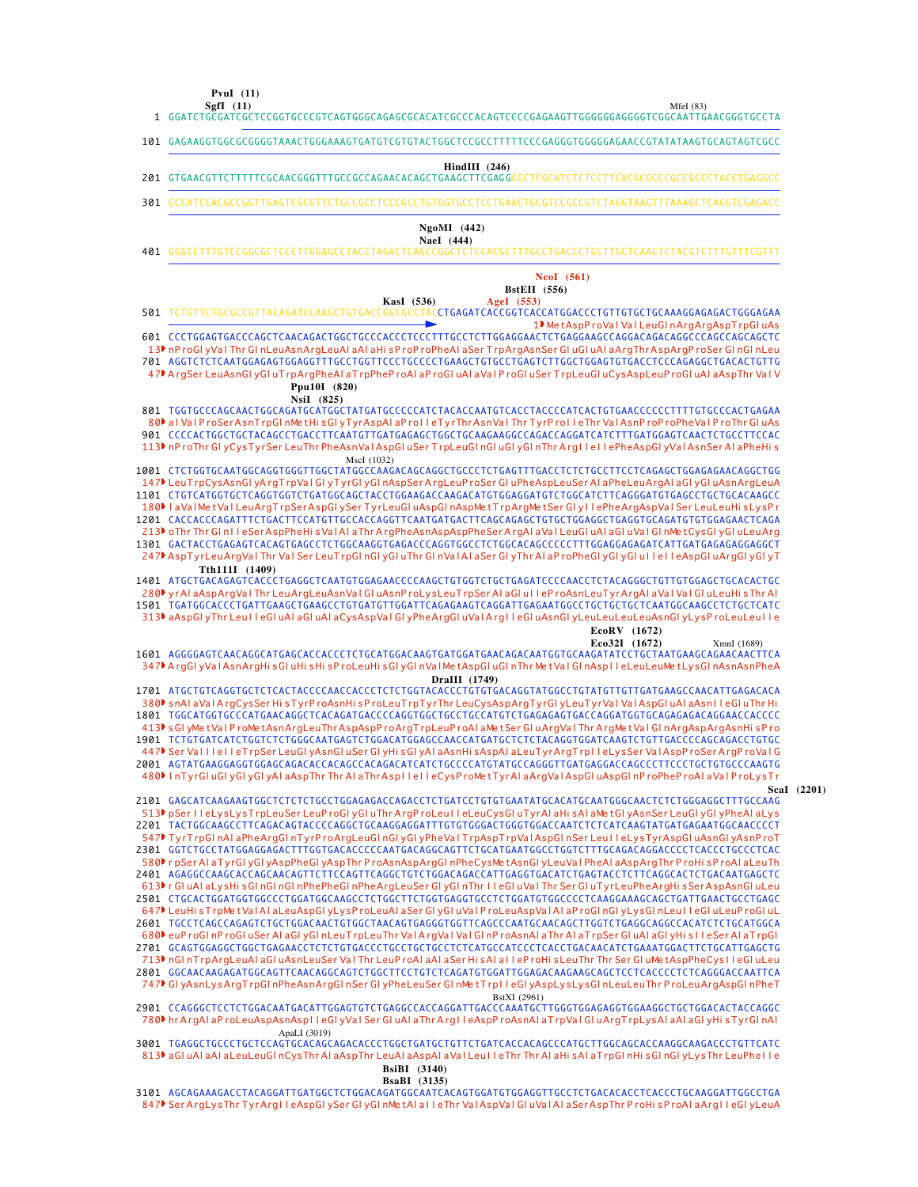**SgfI (11) PvuI (11)**

101 GAGAAGGTGGCGCGGGGTAAACTGGGAAAGTGATGTCGTGTACTGGCTCCGCCTTTTTCCCGAGGGTGGGGGAGAACCGTATATAAGTGCAGTAGTCGCC

#### **HindIII (246)**

- GTGAACGTTCTTTTTCGCAACGGGTTTGCCGCCAGAACACAGCTGAAGCTTCGAG GGGCTCGCATCTCTCCTTCACGCGCCCGCCGCCCTACCTGAGGCC 201
- GCCATCCACGCCGGTTGAGTCGCGTTCTGCCGCCTCCCGCCTGTGGTGCCTCCTGAACTGCGTCCGCCGTCTAGGTAAGTTTAAAGCTCAGGTCGAGACC 301

#### **NaeI (444) NgoMI (442)**

GGGCCTTTGTCCGGCGCTCCCTTGGAGCCTACCTAGACTCAGCCGGCTCTCCACGCTTTGCCTGACCCTGCTTGCTCAACTCTACGTCTTTGTTTCGTTT 401

,<br>CCTGAGATCACCGGTCACCATGGACCCTGTTGTGCTGCAAAGGAGAGACTGGGAGAA CCCTGGAGTGACCCAGCTCAACAGACTGGCTGCCCACCCTCCCTTTGCCTCTTGGAGGAACTCTGAGGAAGCCAGGACAGACAGGCCCAGCCAGCAGCTC 601 701 AGGTCTCTCAATGGAGAGTGGAGGTTTGCCTGGTTCCCTGCCCCTGAAGCTGTGCCTGAGTCTTGGCTGGAGTGTGACCTCCCAGAGGCTGACACTGTTG TGGTGCCCAGCAACTGGCAGATGCATGGCTATGATGCCCCCATCTACACCAATGTCACCTACCCCATCACTGTGAACCCCCCTTTTGTGCCCACTGAGAA 801 CCCCACTGGCTGCTACAGCCTGACCTTCAATGTTGATGAGAGCTGGCTGCAAGAAGGCCAGACCAGGATCATCTTTGATGGAGTCAACTCTGCCTTCCAC 901 1001 CTCTGGTGCAATGGCAGGTGGGTTGGCTATGGCCAAGACAGCAGGCTGCCCTCTGAGTTTGACCTCTCTGCCTTCCTCAGAGCTGGAGAGAACAGGCTGG 1101 CTGTCATGGTGCTCAGGTGGTCTGATGGCAGCTACCTGGAAGACCAAGACATGTGGAGGATGTCTGGCATCTTCAGGGATGTGAGCCTGCTGCACAAGCC 1201 CACCACCCAGATTTCTGACTTCCATGTTGCCACCAGGTTCAATGATGACTTCAGCAGAGCTGTGCTGGAGGCTGAGGTGCAGATGTGTGGAGAACTCAGA GACTACCTGAGAGTCACAGTGAGCCTCTGGCAAGGTGAGACCCAGGTGGCCTCTGGCACAGCCCCCTTTGGAGGAGAGATCATTGATGAGAGAGGAGGCT 1301 1401 ATGCTGACAGAGTCACCCTGAGGCTCAATGTGGAGAACCCCAAGCTGTGGTCTGCTGAGATCCCCAACCTCTACAGGGCTGTTGTGGAGCTGCACACTGC 1501 TGATGGCACCCTGATTGAAGCTGAAGCCTGTGATGTTGGATTCAGAGAAGTCAGGATTGAGAATGGCCTGCTGCTGCTCAATGGCAAGCCTCTGCTCATC AGGGGAGTCAACAGGCATGAGCACCACCCTCTGCATGGACAAGTGATGGATGAACAGACAATGGTGCAAGATATCCTGCTAATGAAGCAGAACAACTTCA **Eco32I (1672)** XmnI (1689) 1601 1701 ATGCTGTCAGGTGCTCTCACTACCCCAACCACCCTCTCTGGTACACCCTGTGTGACAGGTATGGCCTGTATGTTGTTGATGAAGCCAACATTGAGACACA TGGCATGGTGCCCATGAACAGGCTCACAGATGACCCCAGGTGGCTGCCTGCCATGTCTGAGAGAGTGACCAGGATGGTGCAGAGAGACAGGAACCACCCC 1801 1901 TCTGTGATCATCTGGTCTCTGGGCAATGAGTCTGGACATGGAGCCAACCATGATGCTCTCTACAGGTGGATCAAGTCTGTTGACCCCAGCAGACCTGTGC 2001 AGTATGAAGGAGGTGGAGCAGACACCACAGCCACAGACATCATCTGCCCCATGTATGCCAGGGTTGATGAGGACCAGCCCTTCCCTGCTGTGCCCAAGTG 2101 GAGCATCAAGAAGTGGCTCTCTCTGCCTGGAGAGACCAGACCTCTGATCCTGTGTGAATATGCACATGCAATGGGCAACTCTCTGGGAGGCTTTGCCAAG 2201 TACTGGCAAGCCTTCAGACAGTACCCCAGGCTGCAAGGAGGATTTGTGTGGGACTGGGTGGACCAATCTCTCATCAAGTATGATGAGAATGGCAACCCCT 2301 GGTCTGCCTATGGAGGAGACTTTGGTGACACCCCCAATGACAGGCAGTTCTGCATGAATGGCCTGGTCTTTGCAGACAGGACCCCTCACCCTGCCCTCAC 2401 AGAGGCCAAGCACCAGCAACAGTTCTTCCAGTTCAGGCTGTCTGGACAGACCATTGAGGTGACATCTGAGTACCTCTTCAGGCACTCTGACAATGAGCTC 2501 CTGCACTGGATGGTGGCCCTGGATGGCAAGCCTCTGGCTTCTGGTGAGGTGCCTCTGGATGTGGCCCCTCAAGGAAAGCAGCTGATTGAACTGCCTGAGC TGCCTCAGCCAGAGTCTGCTGGACAACTGTGGCTAACAGTGAGGGTGGTTCAGCCCAATGCAACAGCTTGGTCTGAGGCAGGCCACATCTCTGCATGGCA 2601 GCAGTGGAGGCTGGCTGAGAACCTCTCTGTGACCCTGCCTGCTGCCTCTCATGCCATCCCTCACCTGACAACATCTGAAATGGACTTCTGCATTGAGCTG 2701 2801 GGCAACAAGAGATGGCAGTTCAACAGGCAGTCTGGCTTCCTGTCTCAGATGTGGATTGGAGACAAGAAGCAGCTCCTCCTCCCCCTCTCAGGGACCAATTCA 2901 CCAGGGCTCCTCTGGACAATGACATTGGAGTGTCTGAGGCCACCAGGATTGACCCAAATGCTTGGGTGGAGAGGTGGAAGGCTGCTGGACACTACCAGGC 1▶Me tAspP roVal Val LeuGl nArgArgAspTrpGl uAs 13▶nP roGl yVal Thr Gl nLeuAsnArgLeuAl aAl aHi sP roP roPheAl aSer TrpArgAsnSer Gl uGl uAl aArgThrAspArgP roSer Gl nGl nLeu 47▶A rgSer LeuAsnGl yGl uT rpArgPheAl aT rpPheP roAl aP roGl uAI aVaI P roGl uSer T rpLeuGl uCysAspLeuP roGl uAI aAspThr VaI V 80▶ al Val P roSerAsnTrpGl nMe tHi sGl yTyrAspAl aP ro I l eTyrThrAsnVal Thr TyrP ro I l eThr Val AsnP roP roPheVal P roThr Gl uAs 113▶ nP roThr GI yCysTyrSer LeuThr PheAsnVa l AspGl uSer T rpLeuGI nGI uGI yGI nThr A rg I l e I l ePheAspGI yVa l AsnSer AI aPheHi s 147▶LeuTrpCysAsnGl yArgTrpVaIGI yTyrGl yGl nAspSerArgLeuProSer GI uPheAspLeuSer AI aPheLeuArgAI aGI yGI uAsnArgLeuA 180▶ laVa l Me tVa l Leu ArgTrpSerAspGlySer TyrLeuGluAspGlnAspMetTrpArgMetSer Gly llePheArgAspVa l Ser LeuLeuHisLysPr 213▶oThr Thr Gl n I l eSerAspPheHi s Va I A I aThr ArgPheAsnAspAspPheSer ArgAI aVaI LeuGI uAI aGI uVaI GI nMetCysGI yGI uLeuArg 247▶AspTyrLeuArgVaI Thr VaI Ser LeuTrpGI nGI yGI uThr GI nVaI AI aSer GI yThr AI aP roPheGI yGI yGI uI I eI I eAspGI uArgGI yGI yT 280ÞyrAl aAspArgVaI Thr LeuArgLeuAsnVaI GI uAsnP roLysLeuT rpSer AI aGI u I I eP roAsnLeuTyrArgAI aVaI VaI GI uLeuHi sThr AI 313▶aAspGl yThr Leu I l eGl uAl aGl uAl aCysAspVaI Gl yPheArgGl uVaIArg I l eGl uAsnGl yLeuLeuLeuLeuAsnGl yLysP roLeuLeu I l e 347▶A rgGl yVal AsnArgHi sGl uHi sHi sP roLeuHi sGl yGl nVal Me tAspGl uGl nThr Me tVal Gl nAspl I eLeuLeuMe tLysGl nAsnAsnPheA 380▶ snAl aVaIA rgCysSer Hi sTyrP roAsnHi sP roLeuT rpTyrThr LeuCysAspArgTyrGl yLeuTyrVaI VaIAspGl uAI aAsnTl eGI uThr Hi 413▶sGlyMetValProMetAsnArgLeuThrAspAspProArgTrpLeuProAlaMetSerGluArgValThrArgMetValGlnArgAspArgAsnHisPro 447♪ Ser Val I l e I l eTrpSer LeuGl yAsnGl uSer Gl yHi sGl yAl aAsnHi sAspAl aLeuTyrArgTrp I l eLysSer Val AspP roSerArgP roVal G 480▶ InTyrGluGlyGlyGlyAl aAspThr Thr Al aThr Aspl I e I leCysP roMetTyrAl aArgVal AspGluAspGl nP roPheP roAl aVal P roLysTr 513) pSer I l eLysLysTrpLeuSer LeuP roGl yGl uThr ArgP roLeu I l eLeuCysGl uTyrAl aHi sAl aMe tGl yAsnSer LeuGl yGl yPheAl aLys 547) TyrTrpGI nAI aPheArgGI nTyrP roArgLeuGI nGI yGI yPheVaI TrpAspTrpVaI AspGI nSer Leu I I eLysTyrAspGI uAsnGI yAsnP roT 580▶rpSer AI aTyrGl yGl yAspPheGl yAspThr P roAsnAspArgGl nPheCysMe tAsnGl yLeuVal PheAI aAspArgThr P roHi sP roAI aLeuTh r Gl uAl aLy sHi sGl nGl nGl nPhePheGl nPheArgLeuSer Gl yGl nThr I l eGl uVa l Thr Ser Gl uTyrLeuPheArgHi s SerAspAsnGl uLeu 613 647▶LeuHi sTrpMetValAl aLeuAspGl yLysP roLeuAl aSer Gl yGl uValProLeuAspValAl aP roGl nGl yLysGl nLeu I l eGl uLeuP roGl uL 680ÞeuP roGl nP roGl uSer Al aGl yGl nLeuT rpLeuThr Va∣A rgVa∣Val Gl nP roAsnAl aThr Al aT rpSer Gl uAl aGl yHi s∣l eSer Al aT rpGl 713▶nGl nTrpArgLeuAl aGl uAsnLeuSer Va l Thr LeuP roAl aAl aSer Hi sAl a I l eP roHi sLeuThr Thr Ser Gl uMetAspPheCys I l eGl uLeu 747▶GI yAsnLysArgTrpGI nPheAsnArgGI nSer GI yPheLeuSer GI nMetTrp I leGI yAspLysLysGI nLeuLeuThr P roLeuArgAspGI nPheT 780Þhr ArgAl aP roLeuAspAsnAsp I leGl yVal Ser Gl uAl aThr Arg I leAspP roAsnAl aTrpVal Gl uArgTrpLysAl aAl aGl yHi sTyrGl nAl **KasI (536) AgeI (553) BstEII (556) NcoI (561) NsiI (825) Ppu10I (820)** MscI (1032) **Tth111I (1409) EcoRV (1672) DraIII (1749) ScaI (2201)** BstXI (2961) ApaLI (3019) 501 TCTGTTCTGCGCCGTTACAGATCCAAGCTGTGACCG

3001 TGAGGCTGCCCTGCTCCAGTGCACAGCAGACACCCTGGCTGATGCTGTTCTGATCACCACAGCCCATGCTTGGCAGCACCAAGGCAAGACCCTGTTCATC 813▶aGl uAl aAl aLeuLeuGl nCysThr Al aAspThr LeuAl aAspAl aVal Leu I l eThr Thr Al aHi sAl aT rpGl nHi sGl nGl yLysThr LeuPhe I l e **BsiBI (3140)**

#### **BsaBI (3135)**

3101 AGCAGAAAGACCTACAGGATTGATGGCTCTGGACAGATGGCAATCACAGTGGATGTGGAGGTTGCCTCTGACACACCTCACCCTGCAAGGATTGGCCTGA 847▶Ser ArgLysThr TyrArg I l eAspGl ySer Gl yGl nMe tAl a I l eThr Va l AspVa I Gl uVa I Al aSerAspThr P roHi sP roAl aArg I l eGl yLeuA